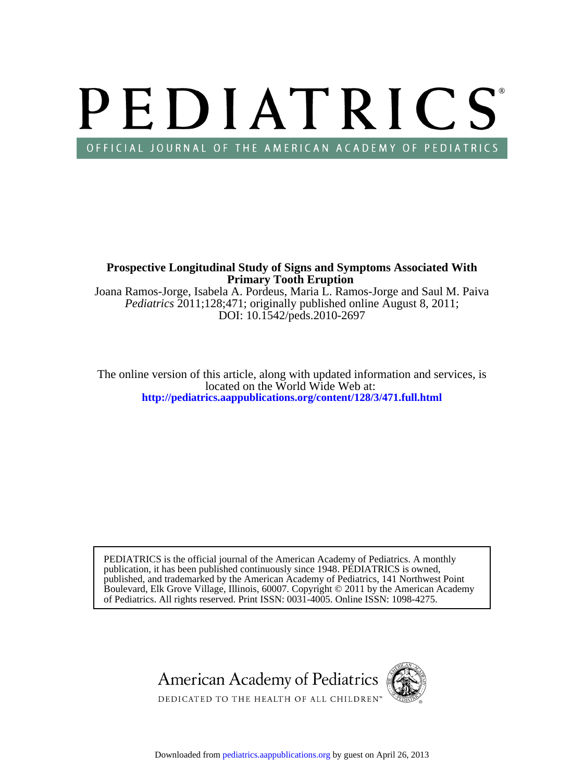# PEDIATRICS OFFICIAL JOURNAL OF THE AMERICAN ACADEMY OF PEDIATRICS

**Primary Tooth Eruption Prospective Longitudinal Study of Signs and Symptoms Associated With**

DOI: 10.1542/peds.2010-2697 *Pediatrics* 2011;128;471; originally published online August 8, 2011; Joana Ramos-Jorge, Isabela A. Pordeus, Maria L. Ramos-Jorge and Saul M. Paiva

**<http://pediatrics.aappublications.org/content/128/3/471.full.html>** located on the World Wide Web at: The online version of this article, along with updated information and services, is

of Pediatrics. All rights reserved. Print ISSN: 0031-4005. Online ISSN: 1098-4275. Boulevard, Elk Grove Village, Illinois, 60007. Copyright © 2011 by the American Academy published, and trademarked by the American Academy of Pediatrics, 141 Northwest Point publication, it has been published continuously since 1948. PEDIATRICS is owned, PEDIATRICS is the official journal of the American Academy of Pediatrics. A monthly

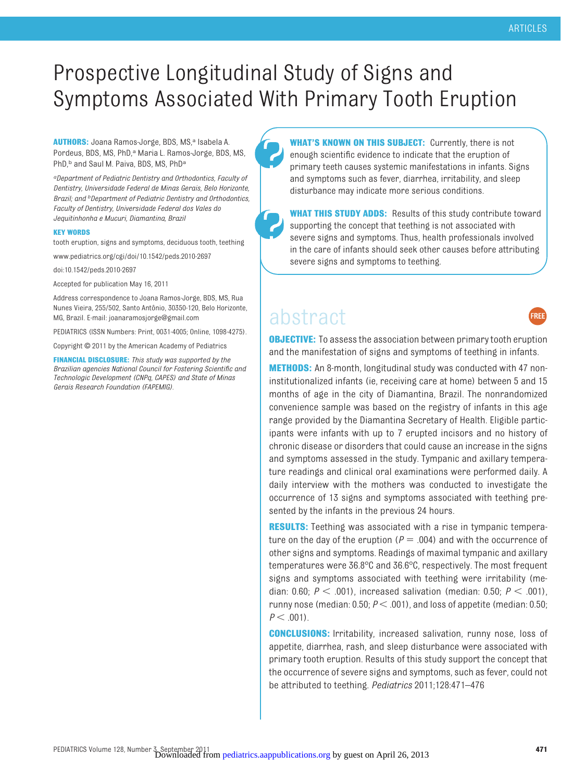## Prospective Longitudinal Study of Signs and Symptoms Associated With Primary Tooth Eruption

**AUTHORS:** Joana Ramos-Jorge, BDS, MS,<sup>a</sup> Isabela A. Pordeus, BDS, MS, PhD,<sup>a</sup> Maria L. Ramos-Jorge, BDS, MS, PhD,<sup>b</sup> and Saul M. Paiva, BDS, MS, PhD<sup>a</sup>

*aDepartment of Pediatric Dentistry and Orthodontics, Faculty of Dentistry, Universidade Federal de Minas Gerais, Belo Horizonte, Brazil; and bDepartment of Pediatric Dentistry and Orthodontics, Faculty of Dentistry, Universidade Federal dos Vales do Jequitinhonha e Mucuri, Diamantina, Brazil*

#### **KEY WORDS**

tooth eruption, signs and symptoms, deciduous tooth, teething

www.pediatrics.org/cgi/doi/10.1542/peds.2010-2697

doi:10.1542/peds.2010-2697

Accepted for publication May 16, 2011

Address correspondence to Joana Ramos-Jorge, BDS, MS, Rua Nunes Vieira, 255/502, Santo Antônio, 30350-120, Belo Horizonte, MG, Brazil. E-mail: joanaramosjorge@gmail.com

PEDIATRICS (ISSN Numbers: Print, 0031-4005; Online, 1098-4275).

Copyright © 2011 by the American Academy of Pediatrics

**FINANCIAL DISCLOSURE:** *This study was supported by the Brazilian agencies National Council for Fostering Scientific and Technologic Development (CNPq, CAPES) and State of Minas Gerais Research Foundation (FAPEMIG).*

**WHAT'S KNOWN ON THIS SUBJECT:** Currently, there is not enough scientific evidence to indicate that the eruption of primary teeth causes systemic manifestations in infants. Signs and symptoms such as fever, diarrhea, irritability, and sleep disturbance may indicate more serious conditions.

**WHAT THIS STUDY ADDS:** Results of this study contribute toward supporting the concept that teething is not associated with severe signs and symptoms. Thus, health professionals involved in the care of infants should seek other causes before attributing severe signs and symptoms to teething.

### abstract



**OBJECTIVE:** To assess the association between primary tooth eruption and the manifestation of signs and symptoms of teething in infants.

**METHODS:** An 8-month, longitudinal study was conducted with 47 noninstitutionalized infants (ie, receiving care at home) between 5 and 15 months of age in the city of Diamantina, Brazil. The nonrandomized convenience sample was based on the registry of infants in this age range provided by the Diamantina Secretary of Health. Eligible participants were infants with up to 7 erupted incisors and no history of chronic disease or disorders that could cause an increase in the signs and symptoms assessed in the study. Tympanic and axillary temperature readings and clinical oral examinations were performed daily. A daily interview with the mothers was conducted to investigate the occurrence of 13 signs and symptoms associated with teething presented by the infants in the previous 24 hours.

**RESULTS:** Teething was associated with a rise in tympanic temperature on the day of the eruption ( $P = .004$ ) and with the occurrence of other signs and symptoms. Readings of maximal tympanic and axillary temperatures were 36.8°C and 36.6°C, respectively. The most frequent signs and symptoms associated with teething were irritability (median: 0.60;  $P < .001$ ), increased salivation (median: 0.50;  $P < .001$ ), runny nose (median:  $0.50; P < .001$ ), and loss of appetite (median:  $0.50;$  $P < .001$ ).

**CONCLUSIONS:** Irritability, increased salivation, runny nose, loss of appetite, diarrhea, rash, and sleep disturbance were associated with primary tooth eruption. Results of this study support the concept that the occurrence of severe signs and symptoms, such as fever, could not be attributed to teething. *Pediatrics* 2011;128:471–476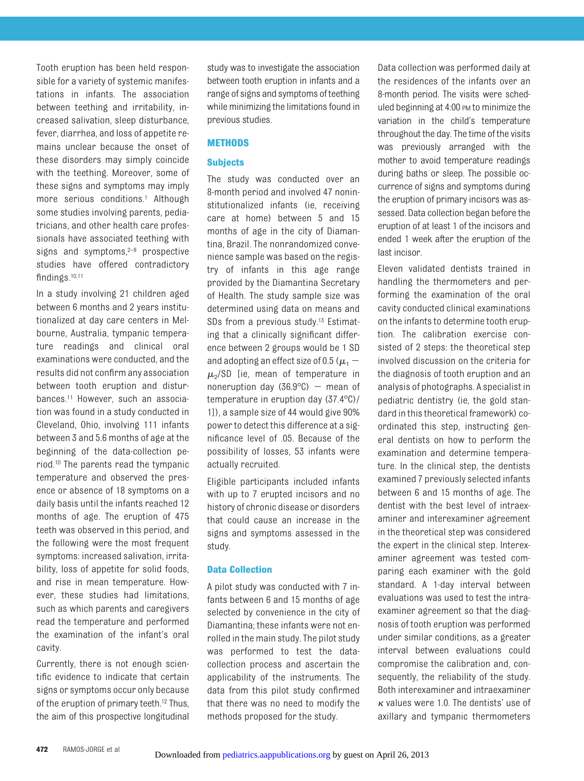Tooth eruption has been held responsible for a variety of systemic manifestations in infants. The association between teething and irritability, increased salivation, sleep disturbance, fever, diarrhea, and loss of appetite remains unclear because the onset of these disorders may simply coincide with the teething. Moreover, some of these signs and symptoms may imply more serious conditions.<sup>1</sup> Although some studies involving parents, pediatricians, and other health care professionals have associated teething with signs and symptoms, $2-9$  $2-9$  prospective studies have offered contradictory findings[.10](#page-6-3)[,11](#page-6-4)

In a study involving 21 children aged between 6 months and 2 years institutionalized at day care centers in Melbourne, Australia, tympanic temperature readings and clinical oral examinations were conducted, and the results did not confirm any association between tooth eruption and disturbances[.11](#page-6-4) However, such an association was found in a study conducted in Cleveland, Ohio, involving 111 infants between 3 and 5.6 months of age at the beginning of the data-collection period[.10](#page-6-3) The parents read the tympanic temperature and observed the presence or absence of 18 symptoms on a daily basis until the infants reached 12 months of age. The eruption of 475 teeth was observed in this period, and the following were the most frequent symptoms: increased salivation, irritability, loss of appetite for solid foods, and rise in mean temperature. However, these studies had limitations, such as which parents and caregivers read the temperature and performed the examination of the infant's oral cavity.

Currently, there is not enough scientific evidence to indicate that certain signs or symptoms occur only because of the eruption of primary teeth[.12](#page-6-5) Thus, the aim of this prospective longitudinal

study was to investigate the association between tooth eruption in infants and a range of signs and symptoms ofteething while minimizing the limitations found in previous studies.

#### **METHODS**

#### **Subjects**

The study was conducted over an 8-month period and involved 47 noninstitutionalized infants (ie, receiving care at home) between 5 and 15 months of age in the city of Diamantina, Brazil. The nonrandomized convenience sample was based on the registry of infants in this age range provided by the Diamantina Secretary of Health. The study sample size was determined using data on means and SDs from a previous study.<sup>13</sup> Estimating that a clinically significant difference between 2 groups would be 1 SD and adopting an effect size of 0.5 ( $\mu$ <sub>1</sub> –  $\mu_{2}/SD$  [ie, mean of temperature in noneruption day (36.9 $^{\circ}$ C) – mean of temperature in eruption day (37.4°C)/ 1]), a sample size of 44 would give 90% power to detect this difference at a significance level of .05. Because of the possibility of losses, 53 infants were actually recruited.

Eligible participants included infants with up to 7 erupted incisors and no history of chronic disease or disorders that could cause an increase in the signs and symptoms assessed in the study.

#### **Data Collection**

A pilot study was conducted with 7 infants between 6 and 15 months of age selected by convenience in the city of Diamantina; these infants were not enrolled in the main study. The pilot study was performed to test the datacollection process and ascertain the applicability of the instruments. The data from this pilot study confirmed that there was no need to modify the methods proposed for the study.

Data collection was performed daily at the residences of the infants over an 8-month period. The visits were scheduled beginning at 4:00 PM to minimize the variation in the child's temperature throughout the day. The time of the visits was previously arranged with the mother to avoid temperature readings during baths or sleep. The possible occurrence of signs and symptoms during the eruption of primary incisors was assessed. Data collection began before the eruption of at least 1 of the incisors and ended 1 week after the eruption of the last incisor.

Eleven validated dentists trained in handling the thermometers and performing the examination of the oral cavity conducted clinical examinations on the infants to determine tooth eruption. The calibration exercise consisted of 2 steps: the theoretical step involved discussion on the criteria for the diagnosis of tooth eruption and an analysis of photographs. A specialist in pediatric dentistry (ie, the gold standard in this theoretical framework) coordinated this step, instructing general dentists on how to perform the examination and determine temperature. In the clinical step, the dentists examined 7 previously selected infants between 6 and 15 months of age. The dentist with the best level of intraexaminer and interexaminer agreement in the theoretical step was considered the expert in the clinical step. Interexaminer agreement was tested comparing each examiner with the gold standard. A 1-day interval between evaluations was used to test the intraexaminer agreement so that the diagnosis of tooth eruption was performed under similar conditions, as a greater interval between evaluations could compromise the calibration and, consequently, the reliability of the study. Both interexaminer and intraexaminer  $\kappa$  values were 1.0. The dentists' use of axillary and tympanic thermometers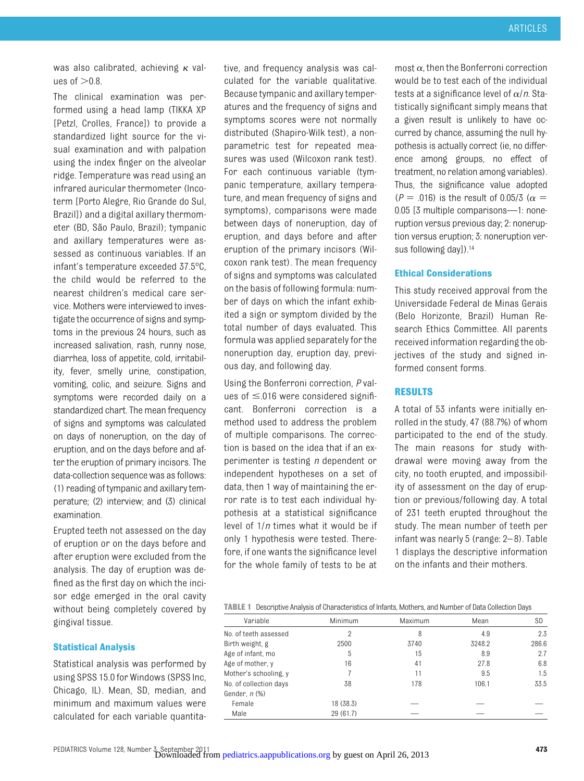was also calibrated, achieving  $\kappa$  values of  $>0.8$ .

The clinical examination was performed using a head lamp (TIKKA XP [Petzl, Crolles, France]) to provide a standardized light source for the visual examination and with palpation using the index finger on the alveolar ridge. Temperature was read using an infrared auricular thermometer (Incoterm [Porto Alegre, Rio Grande do Sul, Brazil]) and a digital axillary thermometer (BD, São Paulo, Brazil); tympanic and axillary temperatures were assessed as continuous variables. If an infant's temperature exceeded 37.5°C, the child would be referred to the nearest children's medical care service. Mothers were interviewed to investigate the occurrence of signs and symptoms in the previous 24 hours, such as increased salivation, rash, runny nose, diarrhea, loss of appetite, cold, irritability, fever, smelly urine, constipation, vomiting, colic, and seizure. Signs and symptoms were recorded daily on a standardized chart. The mean frequency of signs and symptoms was calculated on days of noneruption, on the day of eruption, and on the days before and after the eruption of primary incisors. The data-collection sequence was as follows: (1) reading of tympanic and axillary temperature; (2) interview; and (3) clinical examination.

Erupted teeth not assessed on the day of eruption or on the days before and after eruption were excluded from the analysis. The day of eruption was defined as the first day on which the incisor edge emerged in the oral cavity without being completely covered by gingival tissue.

**Statistical Analysis**

Statistical analysis was performed by using SPSS 15.0 for Windows (SPSS Inc, Chicago, IL). Mean, SD, median, and minimum and maximum values were calculated for each variable quantita-

tive, and frequency analysis was calculated for the variable qualitative. Because tympanic and axillary temperatures and the frequency of signs and symptoms scores were not normally distributed (Shapiro-Wilk test), a nonparametric test for repeated measures was used (Wilcoxon rank test). For each continuous variable (tympanic temperature, axillary temperature, and mean frequency of signs and symptoms), comparisons were made between days of noneruption, day of eruption, and days before and after eruption of the primary incisors (Wilcoxon rank test). The mean frequency of signs and symptoms was calculated on the basis of following formula: number of days on which the infant exhibited a sign or symptom divided by the total number of days evaluated. This formula was applied separately for the noneruption day, eruption day, previous day, and following day.

Using the Bonferroni correction, *P* values of  $\leq$  016 were considered significant. Bonferroni correction is a method used to address the problem of multiple comparisons. The correction is based on the idea that if an experimenter is testing *n* dependent or independent hypotheses on a set of data, then 1 way of maintaining the error rate is to test each individual hypothesis at a statistical significance level of 1/*n* times what it would be if only 1 hypothesis were tested. Therefore, if one wants the significance level for the whole family of tests to be at

most  $\alpha$ , then the Bonferroni correction would be to test each of the individual tests at a significance level of  $\alpha/n$ . Statistically significant simply means that a given result is unlikely to have occurred by chance, assuming the null hypothesis is actually correct (ie, no difference among groups, no effect of treatment, no relation among variables). Thus, the significance value adopted  $(P = .016)$  is the result of 0.05/3 ( $\alpha =$ 0.05 [3 multiple comparisons—1: noneruption versus previous day; 2: noneruption versus eruption; 3: noneruption versus following day]).<sup>14</sup>

#### **Ethical Considerations**

This study received approval from the Universidade Federal de Minas Gerais (Belo Horizonte, Brazil) Human Research Ethics Committee. All parents received information regarding the objectives of the study and signed informed consent forms.

#### **RESULTS**

A total of 53 infants were initially enrolled in the study, 47 (88.7%) of whom participated to the end of the study. The main reasons for study withdrawal were moving away from the city, no tooth erupted, and impossibility of assessment on the day of eruption or previous/following day. A total of 231 teeth erupted throughout the study. The mean number of teeth per infant was nearly 5 (range: 2– 8). [Table](#page-3-0) [1](#page-3-0) displays the descriptive information on the infants and their mothers.

<span id="page-3-0"></span>

|  |  | <b>TABLE 1</b> Descriptive Analysis of Characteristics of Infants, Mothers, and Number of Data Collection Days |  |  |  |  |
|--|--|----------------------------------------------------------------------------------------------------------------|--|--|--|--|
|--|--|----------------------------------------------------------------------------------------------------------------|--|--|--|--|

| Variable               | Minimum   | Maximum | Mean   | SD    |
|------------------------|-----------|---------|--------|-------|
| No. of teeth assessed  | 2         | 8       | 4.9    | 2.3   |
| Birth weight, g        | 2500      | 3740    | 3248.2 | 286.6 |
| Age of infant, mo      | 5         | 15      | 8.9    | 2.7   |
| Age of mother, y       | 16        | 41      | 27.8   | 6.8   |
| Mother's schooling, y  |           | 11      | 9.5    | 1.5   |
| No. of collection days | 38        | 178     | 106.1  | 33.5  |
| Gender, <i>n</i> (%)   |           |         |        |       |
| Female                 | 18 (38.3) |         |        |       |
| Male                   | 29 (61.7) |         |        |       |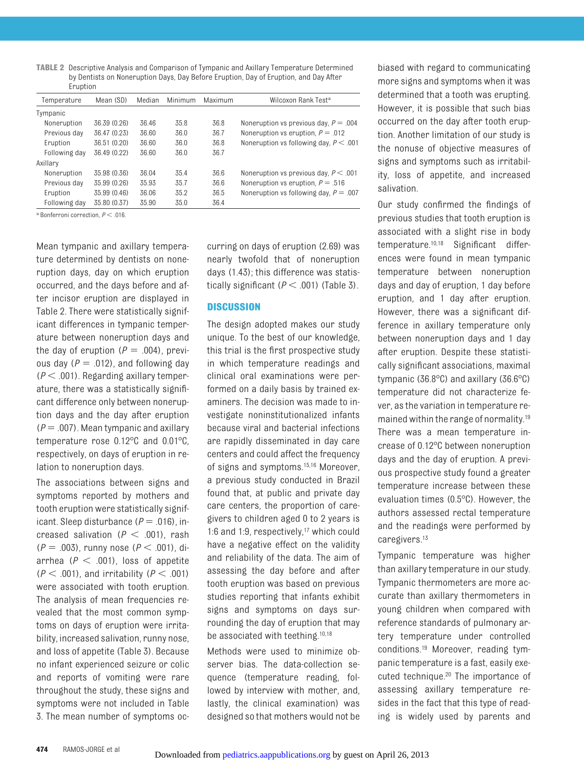<span id="page-4-0"></span>**TABLE 2** Descriptive Analysis and Comparison of Tympanic and Axillary Temperature Determined by Dentists on Noneruption Days, Day Before Eruption, Day of Eruption, and Day After Eruption

| Temperature   | Mean (SD)    | Median | Minimum | Maximum | Wilcoxon Rank Test <sup>a</sup>          |
|---------------|--------------|--------|---------|---------|------------------------------------------|
| Tympanic      |              |        |         |         |                                          |
| Noneruption   | 36.39 (0.26) | 36.46  | 35.8    | 36.8    | Noneruption vs previous day, $P = .004$  |
| Previous day  | 36.47 (0.23) | 36.60  | 36.0    | 36.7    | Noneruption vs eruption, $P = .012$      |
| Eruption      | 36.51 (0.20) | 36.60  | 36.0    | 36.8    | Noneruption vs following day, $P < 0.01$ |
| Following day | 36.49 (0.22) | 36.60  | 36.0    | 36.7    |                                          |
| Axillary      |              |        |         |         |                                          |
| Noneruption   | 35.98 (0.36) | 36.04  | 35.4    | 36.6    | Noneruption vs previous day, $P < .001$  |
| Previous day  | 35.99 (0.26) | 35.93  | 35.7    | 36.6    | Noneruption vs eruption, $P = .516$      |
| Eruption      | 35.99 (0.46) | 36.06  | 35.2    | 36.5    | Noneruption vs following day, $P = .007$ |
| Following day | 35.80 (0.37) | 35.90  | 35.0    | 36.4    |                                          |

 $^{\text{a}}$  Bonferroni correction,  $P < .016$ .

Mean tympanic and axillary temperature determined by dentists on noneruption days, day on which eruption occurred, and the days before and after incisor eruption are displayed in [Table 2.](#page-4-0) There were statistically significant differences in tympanic temperature between noneruption days and the day of eruption  $(P = .004)$ , previous day  $(P = .012)$ , and following day  $(P < .001)$ . Regarding axillary temperature, there was a statistically significant difference only between noneruption days and the day after eruption  $(P = .007)$ . Mean tympanic and axillary temperature rose 0.12°C and 0.01°C, respectively, on days of eruption in relation to noneruption days.

The associations between signs and symptoms reported by mothers and tooth eruption were statistically significant. Sleep disturbance  $(P = .016)$ , increased salivation  $(P < .001)$ , rash  $(P = .003)$ , runny nose  $(P < .001)$ , diarrhea  $(P < .001)$ , loss of appetite  $(P < .001)$ , and irritability  $(P < .001)$ were associated with tooth eruption. The analysis of mean frequencies revealed that the most common symptoms on days of eruption were irritability, increased salivation, runny nose, and loss of appetite [\(Table 3\)](#page-5-0). Because no infant experienced seizure or colic and reports of vomiting were rare throughout the study, these signs and symptoms were not included in [Table](#page-5-0) [3.](#page-5-0) The mean number of symptoms oc-

curring on days of eruption (2.69) was nearly twofold that of noneruption days (1.43); this difference was statistically significant  $(P < .001)$  [\(Table 3\)](#page-5-0).

#### **DISCUSSION**

The design adopted makes our study unique. To the best of our knowledge, this trial is the first prospective study in which temperature readings and clinical oral examinations were performed on a daily basis by trained examiners. The decision was made to investigate noninstitutionalized infants because viral and bacterial infections are rapidly disseminated in day care centers and could affect the frequency of signs and symptoms[.15,](#page-6-8)[16](#page-6-9) Moreover, a previous study conducted in Brazil found that, at public and private day care centers, the proportion of caregivers to children aged 0 to 2 years is 1:6 and 1:9, respectively[,17](#page-6-10) which could have a negative effect on the validity and reliability of the data. The aim of assessing the day before and after tooth eruption was based on previous studies reporting that infants exhibit signs and symptoms on days surrounding the day of eruption that may be associated with teething[.10,](#page-6-3)[18](#page-6-11)

Methods were used to minimize observer bias. The data-collection sequence (temperature reading, followed by interview with mother, and, lastly, the clinical examination) was designed so that mothers would not be

biased with regard to communicating more signs and symptoms when it was determined that a tooth was erupting. However, it is possible that such bias occurred on the day after tooth eruption. Another limitation of our study is the nonuse of objective measures of signs and symptoms such as irritability, loss of appetite, and increased salivation.

Our study confirmed the findings of previous studies that tooth eruption is associated with a slight rise in body temperature[.10,](#page-6-3)[18](#page-6-11) Significant differences were found in mean tympanic temperature between noneruption days and day of eruption, 1 day before eruption, and 1 day after eruption. However, there was a significant difference in axillary temperature only between noneruption days and 1 day after eruption. Despite these statistically significant associations, maximal tympanic (36.8°C) and axillary (36.6°C) temperature did not characterize fever, as the variation in temperature remained within the range of normality[.19](#page-6-12) There was a mean temperature increase of 0.12°C between noneruption days and the day of eruption. A previous prospective study found a greater temperature increase between these evaluation times (0.5°C). However, the authors assessed rectal temperature and the readings were performed by caregivers[.13](#page-6-6)

Tympanic temperature was higher than axillary temperature in our study. Tympanic thermometers are more accurate than axillary thermometers in young children when compared with reference standards of pulmonary artery temperature under controlled conditions[.19](#page-6-12) Moreover, reading tympanic temperature is a fast, easily executed technique[.20](#page-6-13) The importance of assessing axillary temperature resides in the fact that this type of reading is widely used by parents and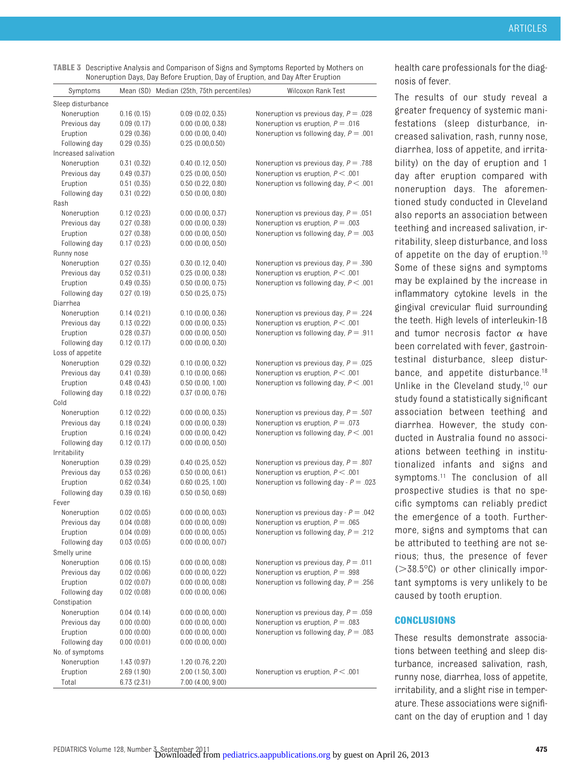<span id="page-5-0"></span>

| <b>TABLE 3</b> Descriptive Analysis and Comparison of Signs and Symptoms Reported by Mothers on |
|-------------------------------------------------------------------------------------------------|
| Noneruption Days, Day Before Eruption, Day of Eruption, and Day After Eruption                  |

| Symptoms             |            | Mean (SD) Median (25th, 75th percentiles) | Wilcoxon Rank Test                        |
|----------------------|------------|-------------------------------------------|-------------------------------------------|
| Sleep disturbance    |            |                                           |                                           |
| Noneruption          | 0.16(0.15) | $0.09$ $(0.02, 0.35)$                     | Noneruption vs previous day, $P = .028$   |
| Previous day         | 0.09(0.17) | $0.00$ $(0.00, 0.38)$                     | Noneruption vs eruption, $P = .016$       |
| Eruption             | 0.29(0.36) | $0.00$ $(0.00, 0.40)$                     | Noneruption vs following day, $P = .001$  |
| Following day        | 0.29(0.35) | 0.25(0.00, 0.50)                          |                                           |
| Increased salivation |            |                                           |                                           |
| Noneruption          | 0.31(0.32) | 0.40(0.12, 0.50)                          | Noneruption vs previous day, $P = .788$   |
| Previous day         | 0.49(0.37) | 0.25(0.00, 0.50)                          | Noneruption vs eruption, $P < .001$       |
| Eruption             | 0.51(0.35) | 0.50(0.22, 0.80)                          | Noneruption vs following day, $P < 0.001$ |
| Following day        | 0.31(0.22) | $0.50$ $(0.00, 0.80)$                     |                                           |
| Rash                 |            |                                           |                                           |
| Noneruption          | 0.12(0.23) | $0.00$ $(0.00, 0.37)$                     | Noneruption vs previous day, $P = .051$   |
| Previous day         | 0.27(0.38) | $0.00$ $(0.00, 0.39)$                     | Noneruption vs eruption, $P = .003$       |
| Eruption             | 0.27(0.38) | $0.00$ $(0.00, 0.50)$                     | Noneruption vs following day, $P = .003$  |
| Following day        | 0.17(0.23) | $0.00$ $(0.00, 0.50)$                     |                                           |
| Runny nose           |            |                                           |                                           |
| Noneruption          | 0.27(0.35) | 0.30(0.12, 0.40)                          | Noneruption vs previous day, $P = .390$   |
| Previous day         | 0.52(0.31) | 0.25(0.00, 0.38)                          | Noneruption vs eruption, $P < 0.001$      |
| Eruption             | 0.49(0.35) | $0.50$ $(0.00, 0.75)$                     | Noneruption vs following day, $P < .001$  |
| Following day        | 0.27(0.19) | 0.50(0.25, 0.75)                          |                                           |
| Diarrhea             |            |                                           |                                           |
| Noneruption          | 0.14(0.21) | 0.10(0.00, 0.36)                          | Noneruption vs previous day, $P = .224$   |
| Previous day         | 0.13(0.22) | $0.00$ $(0.00, 0.35)$                     | Noneruption vs eruption, $P < 0.001$      |
| Eruption             | 0.28(0.37) | $0.00$ $(0.00, 0.50)$                     | Noneruption vs following day, $P = .911$  |
| Following day        | 0.12(0.17) | $0.00$ $(0.00, 0.30)$                     |                                           |
| Loss of appetite     |            |                                           |                                           |
| Noneruption          | 0.29(0.32) | 0.10(0.00, 0.32)                          | Noneruption vs previous day, $P = .025$   |
| Previous day         | 0.41(0.39) | 0.10(0.00, 0.66)                          | Noneruption vs eruption, $P < 0.001$      |
| Eruption             | 0.48(0.43) | $0.50$ $(0.00, 1.00)$                     | Noneruption vs following day, $P < 0.001$ |
| Following day        | 0.18(0.22) | 0.37(0.00, 0.76)                          |                                           |
| Cold                 |            |                                           |                                           |
| Noneruption          | 0.12(0.22) | $0.00$ $(0.00, 0.35)$                     | Noneruption vs previous day, $P = .507$   |
| Previous day         | 0.18(0.24) | $0.00$ $(0.00, 0.39)$                     | Noneruption vs eruption, $P = .073$       |
| Eruption             | 0.16(0.24) | $0.00$ $(0.00, 0.42)$                     | Noneruption vs following day, $P < .001$  |
| Following day        | 0.12(0.17) | $0.00$ $(0.00, 0.50)$                     |                                           |
| Irritability         |            |                                           |                                           |
| Noneruption          | 0.39(0.29) | 0.40(0.25, 0.52)                          | Noneruption vs previous day, $P = .807$   |
| Previous day         | 0.53(0.26) | 0.50(0.00, 0.61)                          | Noneruption vs eruption, $P < 0.001$      |
| Eruption             | 0.62(0.34) | $0.60$ $(0.25, 1.00)$                     | Noneruption vs following day - $P = .023$ |
| Following day        | 0.39(0.16) | 0.50(0.50, 0.69)                          |                                           |
| Fever                |            |                                           |                                           |
| Noneruption          | 0.02(0.05) | $0.00$ $(0.00, 0.03)$                     | Noneruption vs previous day - $P = .042$  |
| Previous day         | 0.04(0.08) | $0.00$ $(0.00, 0.09)$                     | Noneruption vs eruption, $P = .065$       |
| Eruption             | 0.04(0.09) | $0.00$ $(0.00, 0.05)$                     | Noneruption vs following day, $P = .212$  |
| Following day        | 0.03(0.05) | $0.00$ $(0.00, 0.07)$                     |                                           |
| Smelly urine         |            |                                           |                                           |
| Noneruption          | 0.06(0.15) | $0.00$ $(0.00, 0.08)$                     | Noneruption vs previous day, $P = .011$   |
| Previous day         | 0.02(0.06) | $0.00$ $(0.00, 0.22)$                     | Noneruption vs eruption, $P = .998$       |
| Eruption             | 0.02(0.07) | $0.00$ $(0.00, 0.08)$                     | Noneruption vs following day, $P = .256$  |
| Following day        | 0.02(0.08) | $0.00$ $(0.00, 0.06)$                     |                                           |
| Constipation         |            |                                           |                                           |
| Noneruption          | 0.04(0.14) | 0.00(0.00, 0.00)                          | Noneruption vs previous day, $P = .059$   |
| Previous day         | 0.00(0.00) | $0.00$ $(0.00, 0.00)$                     | Noneruption vs eruption, $P = .083$       |
| Eruption             | 0.00(0.00) | $0.00$ $(0.00, 0.00)$                     | Noneruption vs following day, $P = .083$  |
| Following day        | 0.00(0.01) | $0.00$ $(0.00, 0.00)$                     |                                           |
| No. of symptoms      |            |                                           |                                           |
| Noneruption          | 1.43(0.97) | 1.20 (0.76, 2.20)                         |                                           |
| Eruption             | 2.69(1.90) | 2.00(1.50, 3.00)                          | Noneruption vs eruption, $P < .001$       |
| Total                | 6.73(2.31) | 7.00 (4.00, 9.00)                         |                                           |

health care professionals for the diagnosis of fever.

The results of our study reveal a greater frequency of systemic manifestations (sleep disturbance, increased salivation, rash, runny nose, diarrhea, loss of appetite, and irritability) on the day of eruption and 1 day after eruption compared with noneruption days. The aforementioned study conducted in Cleveland also reports an association between teething and increased salivation, irritability, sleep disturbance, and loss of appetite on the day of eruption.<sup>10</sup> Some of these signs and symptoms may be explained by the increase in inflammatory cytokine levels in the gingival crevicular fluid surrounding the teeth. High levels of interleukin-1ß and tumor necrosis factor  $\alpha$  have been correlated with fever, gastrointestinal disturbance, sleep disturbance, and appetite disturbance.<sup>18</sup> Unlike in the Cleveland study,<sup>10</sup> our study found a statistically significant association between teething and diarrhea. However, the study conducted in Australia found no associations between teething in institutionalized infants and signs and symptoms.<sup>11</sup> The conclusion of all prospective studies is that no specific symptoms can reliably predict the emergence of a tooth. Furthermore, signs and symptoms that can be attributed to teething are not serious; thus, the presence of fever  $(>=38.5°C)$  or other clinically important symptoms is very unlikely to be caused by tooth eruption.

#### **CONCLUSIONS**

These results demonstrate associations between teething and sleep disturbance, increased salivation, rash, runny nose, diarrhea, loss of appetite, irritability, and a slight rise in temperature. These associations were significant on the day of eruption and 1 day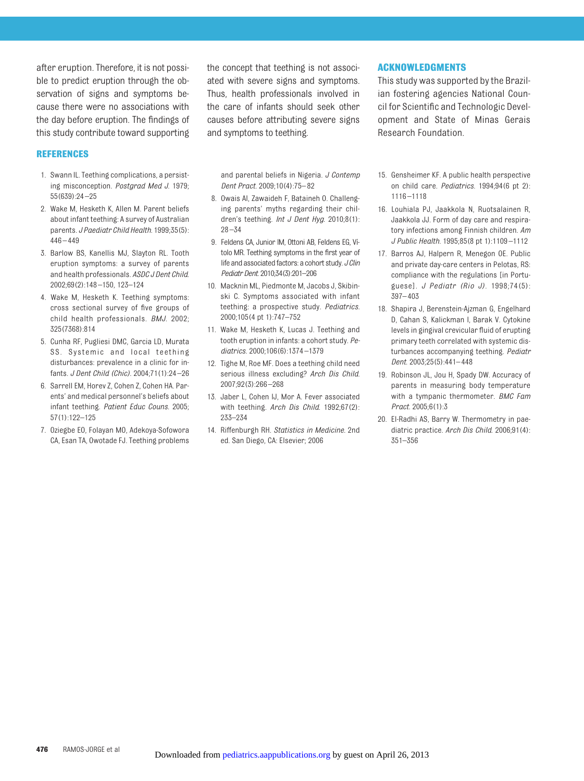after eruption. Therefore, it is not possible to predict eruption through the observation of signs and symptoms because there were no associations with the day before eruption. The findings of this study contribute toward supporting

#### **REFERENCES**

- <span id="page-6-0"></span>1. Swann IL. Teething complications, a persisting misconception. *Postgrad Med J*. 1979; 55(639):24 –25
- <span id="page-6-1"></span>2. Wake M, Hesketh K, Allen M. Parent beliefs about infant teething: A survey of Australian parents. *J Paediatr Child Health*. 1999;35(5):  $446 - 449$
- 3. Barlow BS, Kanellis MJ, Slayton RL. Tooth eruption symptoms: a survey of parents and health professionals. *ASDC J Dent Child*. 2002;69(2):148 –150, 123–124
- 4. Wake M, Hesketh K. Teething symptoms: cross sectional survey of five groups of child health professionals. *BMJ*. 2002; 325(7368):814
- 5. Cunha RF, Pugliesi DMC, Garcia LD, Murata SS. Systemic and local teething disturbances: prevalence in a clinic for infants. *J Dent Child (Chic)*. 2004;71(1):24 –26
- 6. Sarrell EM, Horev Z, Cohen Z, Cohen HA. Parents' and medical personnel's beliefs about infant teething. *Patient Educ Couns*. 2005; 57(1):122–125
- 7. Oziegbe EO, Folayan MO, Adekoya-Sofowora CA, Esan TA, Owotade FJ. Teething problems

the concept that teething is not associated with severe signs and symptoms. Thus, health professionals involved in the care of infants should seek other causes before attributing severe signs and symptoms to teething.

and parental beliefs in Nigeria. *J Contemp Dent Pract*. 2009;10(4):75– 82

- 8. Owais AI, Zawaideh F, Bataineh O. Challenging parents' myths regarding their children's teething. *Int J Dent Hyg*. 2010;8(1):  $28 - 34$
- <span id="page-6-2"></span>9. Feldens CA, Junior IM, Ottoni AB, Feldens EG, Vítolo MR. Teething symptoms in the first year of life and associated factors: a cohort study. *J Clin Pediatr Dent*. 2010;34(3):201–206
- <span id="page-6-3"></span>10. Macknin ML, Piedmonte M, Jacobs J, Skibinski C. Symptoms associated with infant teething: a prospective study. *Pediatrics*. 2000;105(4 pt 1):747–752
- <span id="page-6-4"></span>11. Wake M, Hesketh K, Lucas J. Teething and tooth eruption in infants: a cohort study. *Pediatrics*. 2000;106(6):1374 –1379
- <span id="page-6-5"></span>12. Tighe M, Roe MF. Does a teething child need serious illness excluding? *Arch Dis Child*. 2007;92(3):266 –268
- <span id="page-6-6"></span>13. Jaber L, Cohen IJ, Mor A. Fever associated with teething. *Arch Dis Child*. 1992;67(2): 233–234
- <span id="page-6-7"></span>14. Riffenburgh RH. *Statistics in Medicine.* 2nd ed. San Diego, CA: Elsevier; 2006

#### **ACKNOWLEDGMENTS**

This study was supported by the Brazilian fostering agencies National Council for Scientific and Technologic Development and State of Minas Gerais Research Foundation.

- <span id="page-6-8"></span>15. Gensheimer KF. A public health perspective on child care. *Pediatrics*. 1994;94(6 pt 2): 1116 –1118
- <span id="page-6-9"></span>16. Louhiala PJ, Jaakkola N, Ruotsalainen R, Jaakkola JJ. Form of day care and respiratory infections among Finnish children. *Am J Public Health*. 1995;85(8 pt 1):1109 –1112
- <span id="page-6-10"></span>17. Barros AJ, Halpern R, Menegon OE. Public and private day-care centers in Pelotas, RS: compliance with the regulations [in Portuguese]. *J Pediatr (Rio J)*. 1998;74(5): 397– 403
- <span id="page-6-11"></span>18. Shapira J, Berenstein-Ajzman G, Engelhard D, Cahan S, Kalickman I, Barak V. Cytokine levels in gingival crevicular fluid of erupting primary teeth correlated with systemic disturbances accompanying teething. *Pediatr Dent*. 2003;25(5):441– 448
- <span id="page-6-12"></span>19. Robinson JL, Jou H, Spady DW. Accuracy of parents in measuring body temperature with a tympanic thermometer. *BMC Fam Pract*. 2005;6(1):3
- <span id="page-6-13"></span>20. El-Radhi AS, Barry W. Thermometry in paediatric practice. *Arch Dis Child*. 2006;91(4): 351–356